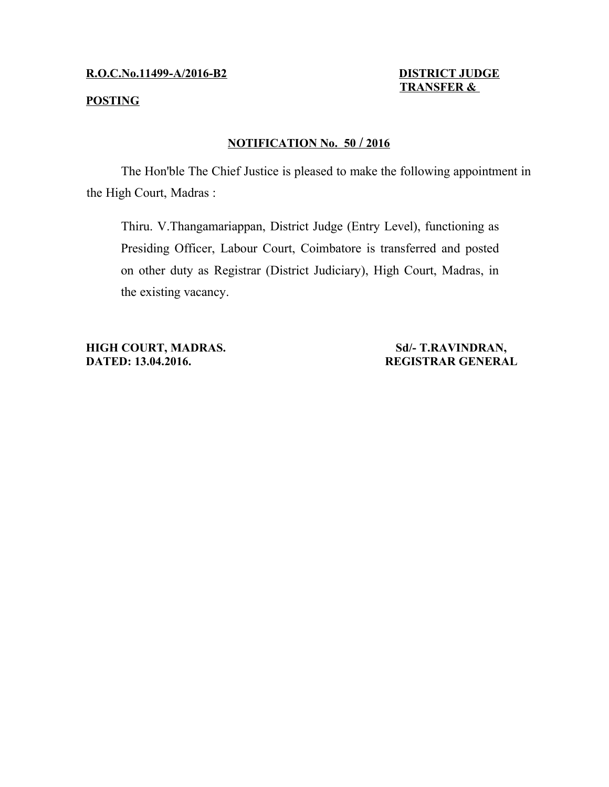## **R.O.C.No.11499-A/2016-B2 DISTRICT JUDGE**

# **TRANSFER &**

## **POSTING**

# **NOTIFICATION No. 50 / 2016**

The Hon'ble The Chief Justice is pleased to make the following appointment in the High Court, Madras :

Thiru. V.Thangamariappan, District Judge (Entry Level), functioning as Presiding Officer, Labour Court, Coimbatore is transferred and posted on other duty as Registrar (District Judiciary), High Court, Madras, in the existing vacancy.

**HIGH COURT, MADRAS.** Sd/- T.RAVINDRAN, **DATED: 13.04.2016.** REGISTRAR GENERAL